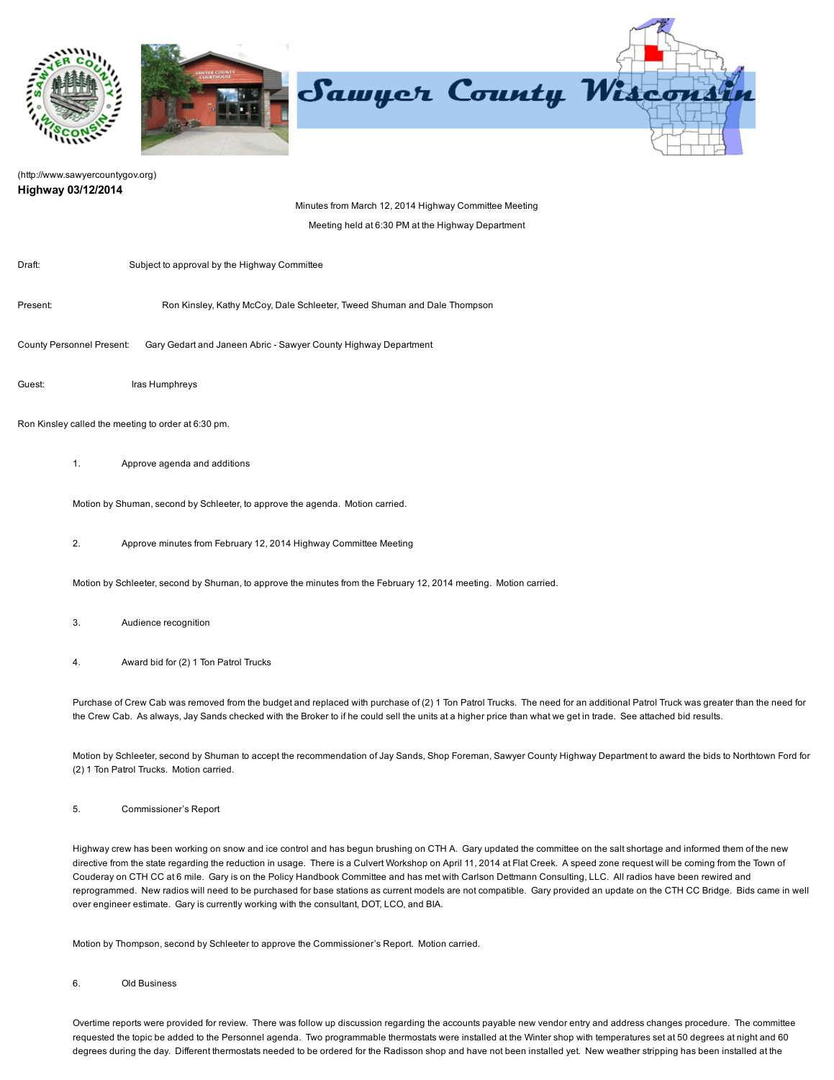

## [\(http://www.sawyercountygov.org\)](http://www.sawyercountygov.org/)

## Highway 03/12/2014

Minutes from March 12, 2014 Highway Committee Meeting Meeting held at 6:30 PM at the Highway Department

| Draft: | Subject to approval by the Highway Committee |
|--------|----------------------------------------------|
|        |                                              |

Present: Ron Kinsley, Kathy McCoy, Dale Schleeter, Tweed Shuman and Dale Thompson

County Personnel Present: Gary Gedart and Janeen Abric Sawyer County Highway Department

Guest: Iras Humphreys

Ron Kinsley called the meeting to order at 6:30 pm.

1. Approve agenda and additions

Motion by Shuman, second by Schleeter, to approve the agenda. Motion carried.

2. Approve minutes from February 12, 2014 Highway Committee Meeting

Motion by Schleeter, second by Shuman, to approve the minutes from the February 12, 2014 meeting. Motion carried.

- 3. Audience recognition
- 4. Award bid for (2) 1 Ton Patrol Trucks

Purchase of Crew Cab was removed from the budget and replaced with purchase of (2) 1 Ton Patrol Trucks. The need for an additional Patrol Truck was greater than the need for the Crew Cab. As always, Jay Sands checked with the Broker to if he could sell the units at a higher price than what we get in trade. See attached bid results.

Motion by Schleeter, second by Shuman to accept the recommendation of Jay Sands, Shop Foreman, Sawyer County Highway Department to award the bids to Northtown Ford for (2) 1 Ton Patrol Trucks. Motion carried.

## 5. Commissioner's Report

Highway crew has been working on snow and ice control and has begun brushing on CTH A. Gary updated the committee on the salt shortage and informed them of the new directive from the state regarding the reduction in usage. There is a Culvert Workshop on April 11, 2014 at Flat Creek. A speed zone request will be coming from the Town of Couderay on CTH CC at 6 mile. Gary is on the Policy Handbook Committee and has met with Carlson Dettmann Consulting, LLC. All radios have been rewired and reprogrammed. New radios will need to be purchased for base stations as current models are not compatible. Gary provided an update on the CTH CC Bridge. Bids came in well over engineer estimate. Gary is currently working with the consultant, DOT, LCO, and BIA.

Motion by Thompson, second by Schleeter to approve the Commissioner's Report. Motion carried.

6. Old Business

Overtime reports were provided for review. There was follow up discussion regarding the accounts payable new vendor entry and address changes procedure. The committee requested the topic be added to the Personnel agenda. Two programmable thermostats were installed at the Winter shop with temperatures set at 50 degrees at night and 60 degrees during the day. Different thermostats needed to be ordered for the Radisson shop and have not been installed yet. New weather stripping has been installed at the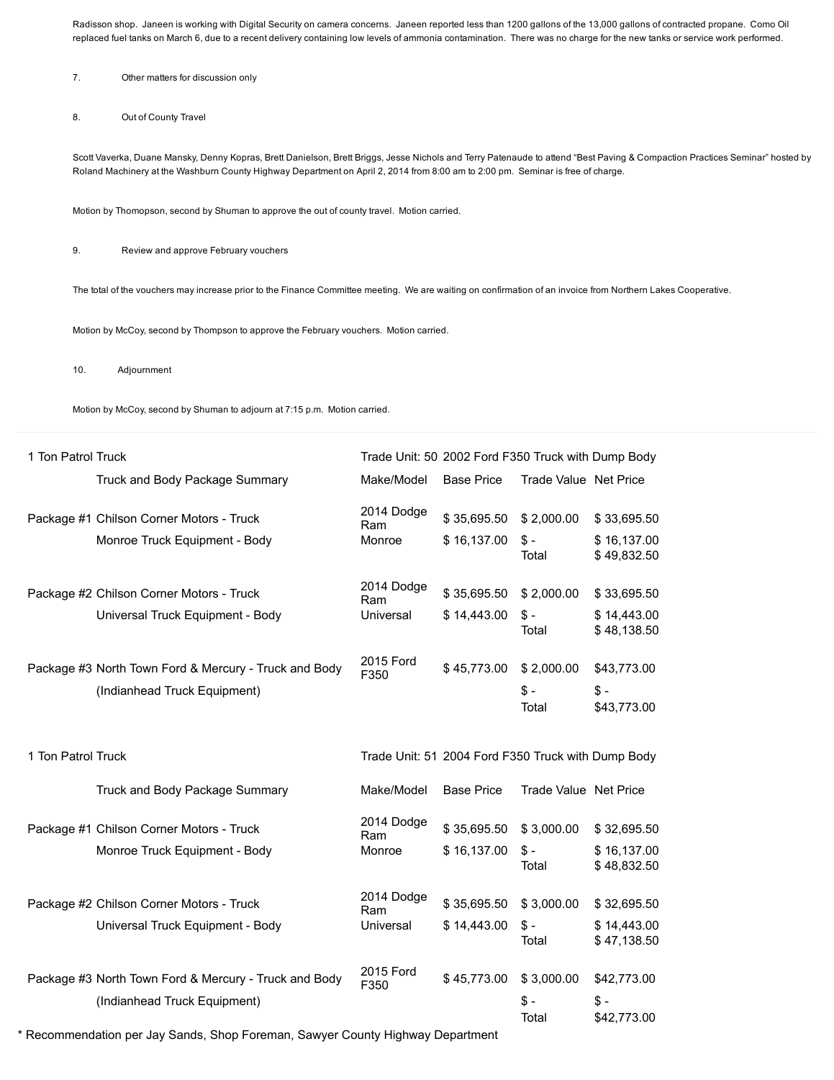Radisson shop. Janeen is working with Digital Security on camera concerns. Janeen reported less than 1200 gallons of the 13,000 gallons of contracted propane. Como Oil replaced fuel tanks on March 6, due to a recent delivery containing low levels of ammonia contamination. There was no charge for the new tanks or service work performed.

- 7. Other matters for discussion only
- 8. Out of County Travel

Scott Vaverka, Duane Mansky, Denny Kopras, Brett Danielson, Brett Briggs, Jesse Nichols and Terry Patenaude to attend "Best Paving & Compaction Practices Seminar" hosted by Roland Machinery at the Washburn County Highway Department on April 2, 2014 from 8:00 am to 2:00 pm. Seminar is free of charge.

Motion by Thomopson, second by Shuman to approve the out of county travel. Motion carried.

9. Review and approve February vouchers

The total of the vouchers may increase prior to the Finance Committee meeting. We are waiting on confirmation of an invoice from Northern Lakes Cooperative.

Motion by McCoy, second by Thompson to approve the February vouchers. Motion carried.

10. Adjournment

Motion by McCoy, second by Shuman to adjourn at 7:15 p.m. Motion carried.

| 1 Ton Patrol Truck |                                                                                       | Trade Unit: 50 2002 Ford F350 Truck with Dump Body |                            |                              |                                               |
|--------------------|---------------------------------------------------------------------------------------|----------------------------------------------------|----------------------------|------------------------------|-----------------------------------------------|
|                    | Truck and Body Package Summary                                                        | Make/Model                                         | <b>Base Price</b>          | Trade Value Net Price        |                                               |
|                    | Package #1 Chilson Corner Motors - Truck<br>Monroe Truck Equipment - Body             | 2014 Dodge<br>Ram<br>Monroe                        | \$35,695.50<br>\$16,137.00 | \$2,000.00<br>$S -$<br>Total | \$33,695.50<br>\$16,137.00<br>\$49,832.50     |
|                    | Package #2 Chilson Corner Motors - Truck<br>Universal Truck Equipment - Body          | 2014 Dodge<br>Ram<br>Universal                     | \$35,695.50<br>\$14,443.00 | \$2,000.00<br>$S -$<br>Total | \$33,695.50<br>\$14,443.00<br>\$48,138.50     |
|                    | Package #3 North Town Ford & Mercury - Truck and Body<br>(Indianhead Truck Equipment) | 2015 Ford<br>F350                                  | \$45,773.00                | \$2,000.00<br>$$ -$<br>Total | \$43,773.00<br>$\mathsf{\$}$ -<br>\$43,773.00 |
| 1 Ton Patrol Truck |                                                                                       | Trade Unit: 51 2004 Ford F350 Truck with Dump Body |                            |                              |                                               |
|                    | Truck and Body Package Summary                                                        | Make/Model                                         | <b>Base Price</b>          | Trade Value Net Price        |                                               |
|                    |                                                                                       |                                                    |                            |                              |                                               |
|                    | Package #1 Chilson Corner Motors - Truck<br>Monroe Truck Equipment - Body             | 2014 Dodge<br>Ram<br>Monroe                        | \$35,695.50<br>\$16,137.00 | \$3,000.00<br>$$ -$<br>Total | \$32,695.50<br>\$16,137.00<br>\$48,832.50     |
|                    | Package #2 Chilson Corner Motors - Truck<br>Universal Truck Equipment - Body          | 2014 Dodge<br>Ram<br>Universal                     | \$35,695.50<br>\$14,443.00 | \$3,000.00<br>$$ -$<br>Total | \$32,695.50<br>\$14,443.00<br>\$47,138.50     |

\* Recommendation per Jay Sands, Shop Foreman, Sawyer County Highway Department